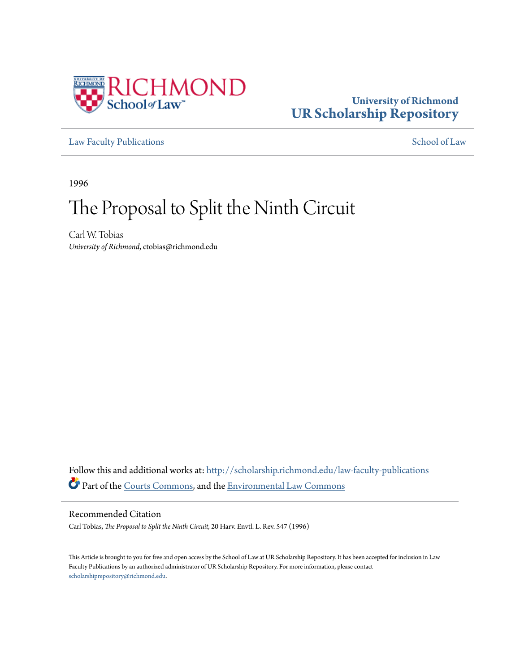

## **University of Richmond [UR Scholarship Repository](http://scholarship.richmond.edu?utm_source=scholarship.richmond.edu%2Flaw-faculty-publications%2F804&utm_medium=PDF&utm_campaign=PDFCoverPages)**

[Law Faculty Publications](http://scholarship.richmond.edu/law-faculty-publications?utm_source=scholarship.richmond.edu%2Flaw-faculty-publications%2F804&utm_medium=PDF&utm_campaign=PDFCoverPages) [School of Law](http://scholarship.richmond.edu/law?utm_source=scholarship.richmond.edu%2Flaw-faculty-publications%2F804&utm_medium=PDF&utm_campaign=PDFCoverPages)

1996

# The Proposal to Split the Ninth Circuit

Carl W. Tobias *University of Richmond*, ctobias@richmond.edu

Follow this and additional works at: [http://scholarship.richmond.edu/law-faculty-publications](http://scholarship.richmond.edu/law-faculty-publications?utm_source=scholarship.richmond.edu%2Flaw-faculty-publications%2F804&utm_medium=PDF&utm_campaign=PDFCoverPages) Part of the [Courts Commons](http://network.bepress.com/hgg/discipline/839?utm_source=scholarship.richmond.edu%2Flaw-faculty-publications%2F804&utm_medium=PDF&utm_campaign=PDFCoverPages), and the [Environmental Law Commons](http://network.bepress.com/hgg/discipline/599?utm_source=scholarship.richmond.edu%2Flaw-faculty-publications%2F804&utm_medium=PDF&utm_campaign=PDFCoverPages)

### Recommended Citation

Carl Tobias, *The Proposal to Split the Ninth Circuit,* 20 Harv. Envtl. L. Rev. 547 (1996)

This Article is brought to you for free and open access by the School of Law at UR Scholarship Repository. It has been accepted for inclusion in Law Faculty Publications by an authorized administrator of UR Scholarship Repository. For more information, please contact [scholarshiprepository@richmond.edu.](mailto:scholarshiprepository@richmond.edu)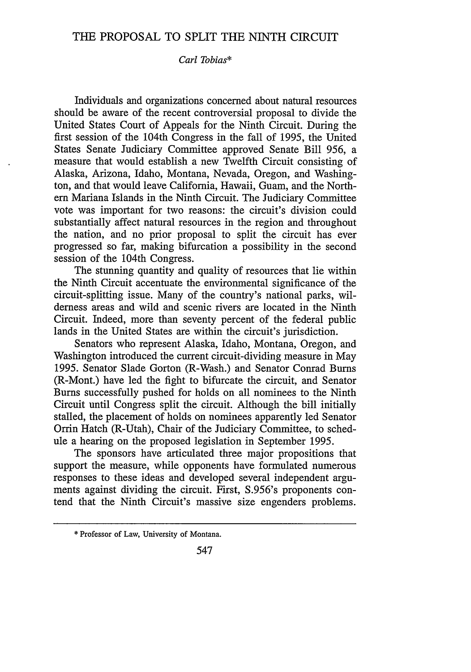### THE PROPOSAL TO SPLIT THE NINTH CIRCUIT

#### *Carl Tobias\**

Individuals and organizations concerned about natural resources should be aware of the recent controversial proposal to divide the United States Court of Appeals for the Ninth Circuit. During the first session of the 104th Congress in the fall of 1995, the United States Senate Judiciary Committee approved Senate Bill 956, a measure that would establish a new Twelfth Circuit consisting of Alaska, Arizona, Idaho, Montana, Nevada, Oregon, and Washington, and that would leave California, Hawaii, Guam, and the Northern Mariana Islands in the Ninth Circuit. The Judiciary Committee vote was important for two reasons: the circuit's division could substantially affect natural resources in the region and throughout the nation, and no prior proposal to split the circuit has ever progressed so far, making bifurcation a possibility in the second session of the 104th Congress.

The stunning quantity and quality of resources that lie within the Ninth Circuit accentuate the environmental significance of the circuit-splitting issue. Many of the country's national parks, wilderness areas and wild and scenic rivers are located in the Ninth Circuit. Indeed, more than seventy percent of the federal public lands in the United States are within the circuit's jurisdiction.

Senators who represent Alaska, Idaho, Montana, Oregon, and Washington introduced the current circuit-dividing measure in May 1995. Senator Slade Gorton (R-Wash.) and Senator Conrad Burns (R-Mont.) have led the fight to bifurcate the circuit, and Senator Burns successfully pushed for holds on all nominees to the Ninth Circuit until Congress split the circuit. Although the bill initially stalled, the placement of holds on nominees apparently led Senator Orrin Hatch (R-Utah), Chair of the Judiciary Committee, to schedule a hearing on the proposed legislation in September 1995.

The sponsors have articulated three major propositions that support the measure, while opponents have formulated numerous responses to these ideas and developed several independent arguments against dividing the circuit. First, S.956's proponents contend that the Ninth Circuit's massive size engenders problems.

<sup>\*</sup> Professor of Law, University of Montana.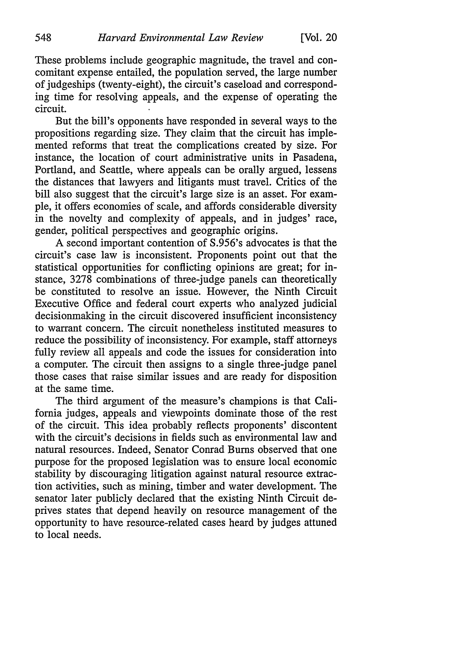These problems include geographic magnitude, the travel and concomitant expense entailed, the population served, the large number of judgeships (twenty-eight), the circuit's caseload and corresponding time for resolving appeals, and the expense of operating the circuit.

But the bill's opponents have responded in several ways to the propositions regarding size. They claim that the circuit has implemented reforms that treat the complications created by size. For instance, the location of court administrative units in Pasadena, Portland, and Seattle, where appeals can be orally argued, lessens the distances that lawyers and litigants must travel. Critics of the bill also suggest that the circuit's large size is an asset. For example, it offers economies of scale, and affords considerable diversity in the novelty and complexity of appeals, and in judges' race, gender, political perspectives and geographic origins.

A second important contention of S.956's advocates is that the circuit's case law is inconsistent. Proponents point out that the statistical opportunities for conflicting opinions are great; for instance, 3278 combinations of three-judge panels can theoretically be constituted to resolve an issue. However, the Ninth Circuit Executive Office and federal court experts who analyzed judicial decisionmaking in the circuit discovered insufficient inconsistency to warrant concern. The circuit nonetheless instituted measures to reduce the possibility of inconsistency. For example, staff attorneys fully review all appeals and code the issues for consideration into a computer. The circuit then assigns to a single three-judge panel those cases that raise similar issues and are ready for disposition at the same time.

The third argument of the measure's champions is that California judges, appeals and viewpoints dominate those of the rest of the circuit. This idea probably reflects proponents' discontent with the circuit's decisions in fields such as environmental law and natural resources. Indeed, Senator Conrad Burns observed that one purpose for the proposed legislation was to ensure local economic stability by discouraging litigation against natural resource extraction activities, such as mining, timber and water development. The senator later publicly declared that the existing Ninth Circuit deprives states that depend heavily on resource management of the opportunity to have resource-related cases heard by judges attuned to local needs.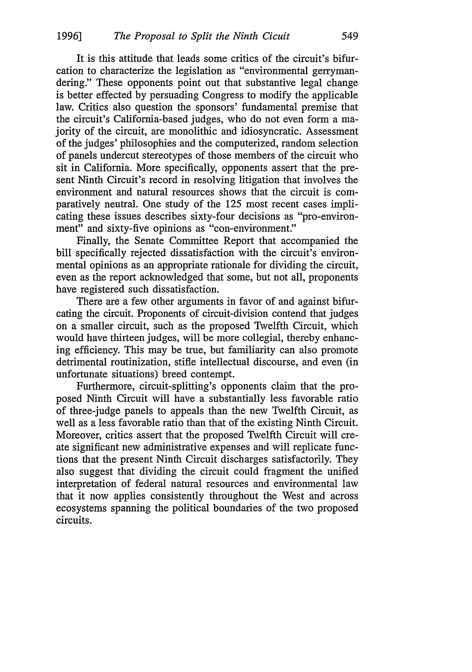It is this attitude that leads some critics of the circuit's bifurcation to characterize the legislation as "environmental gerrymandering." These opponents point out that substantive legal change is better effected by persuading Congress to modify the applicable law. Critics also question the sponsors' fundamental premise that the circuit's California-based judges, who do not even form a majority of the circuit, are monolithic and idiosyncratic. Assessment of the judges' philosophies and the computerized, random selection of panels undercut stereotypes of those members of the circuit who sit in California. More specifically, opponents assert that the present Ninth Circuit's record in resolving litigation that involves the environment and natural resources shows that the circuit is comparatively neutral. One study of the 125 most recent cases implicating these issues describes sixty-four decisions as "pro-environment" and sixty-five opinions as "con-environment."

Finally, the Senate Committee Report that accompanied the bill specifically rejected dissatisfaction with the circuit's environmental opinions as an appropriate rationale for dividing the circuit, even as the report acknowledged that some, but not all, proponents have registered such dissatisfaction.

There are a few other arguments in favor of and against bifurcating the circuit. Proponents of circuit-division contend that judges on a smaller circuit, such as the proposed Twelfth Circuit, which would have thirteen judges, will be more collegial, thereby enhancing efficiency. This may be true, but familiarity can also promote detrimental routinization, stifle intellectual discourse, and even (in unfortunate situations) breed contempt.

Furthermore, circuit-splitting's opponents claim that the proposed Ninth Circuit will have a substantially less favorable ratio of three-judge panels to appeals than the new Twelfth Circuit, as well as a less favorable ratio than that of the existing Ninth Circuit. Moreover, critics assert that the proposed Twelfth Circuit will create significant new administrative expenses and will replicate functions that the present Ninth Circuit discharges satisfactorily. They also suggest that dividing the circuit could fragment the unified interpretation of federal natural resources and environmental law that it now applies consistently throughout the West and across ecosystems spanning the political boundaries of the two proposed circuits.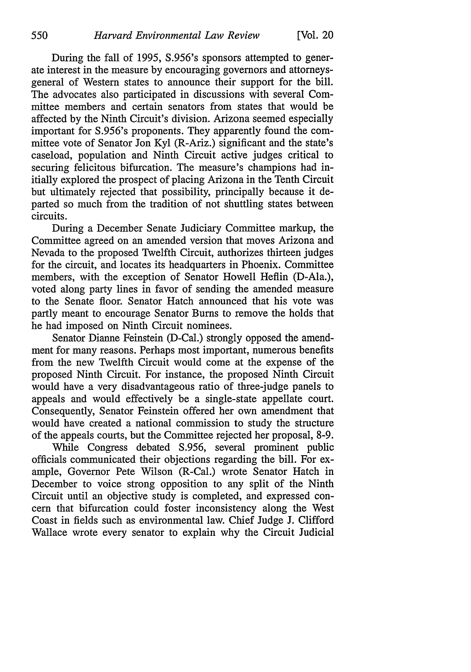During the fall of 1995, S.956's sponsors attempted to generate interest in the measure by encouraging governors and attorneysgeneral of Western states to announce their support for the bill. The advocates also participated in discussions with several Committee members and certain senators from states that would be affected by the Ninth Circuit's division. Arizona seemed especially important for S.956's proponents. They apparently found the committee vote of Senator Jon Kyl (R-Ariz.) significant and the state's caseload, population and Ninth Circuit active judges critical to securing felicitous bifurcation. The measure's champions had initially explored the prospect of placing Arizona in the Tenth Circuit but ultimately rejected that possibility, principally because it departed so much from the tradition of not shuttling states between circuits.

During a December Senate Judiciary Committee markup, the Committee agreed on an amended version that moves Arizona and Nevada to the proposed Twelfth Circuit, authorizes thirteen judges for the circuit, and locates its headquarters in Phoenix. Committee members, with the exception of Senator Howell Heflin (D-Ala.), voted along party lines in favor of sending the amended measure to the Senate floor. Senator Hatch announced that his vote was partly meant to encourage Senator Burns to remove the holds that he had imposed on Ninth Circuit nominees.

Senator Dianne Feinstein (D-Cal.) strongly opposed the amendment for many reasons. Perhaps most important, numerous benefits from the new Twelfth Circuit would come at the expense of the proposed Ninth Circuit. For instance, the proposed Ninth Circuit would have a very disadvantageous ratio of three-judge panels to appeals and would effectively be a single-state appellate court. Consequently, Senator Feinstein offered her own amendment that would have created a national commission to study the structure of the appeals courts, but the Committee rejected her proposal, 8-9.

While Congress debated S.956, several prominent public officials communicated their objections regarding the bill. For example, Governor Pete Wilson (R-Cal.) wrote Senator Hatch in December to voice strong opposition to any split of the Ninth Circuit until an objective study is completed, and expressed concern that bifurcation could foster inconsistency along the West Coast in fields such as environmental law. Chief Judge J. Clifford Wallace wrote every senator to explain why the Circuit Judicial